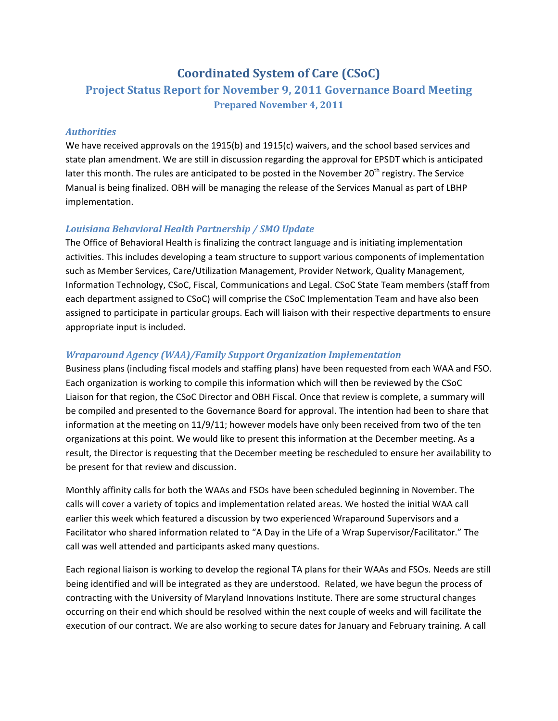# **Coordinated System of Care (CSoC)**

## **Project Status Report for November 9, 2011 Governance Board Meeting Prepared November 4, 2011**

## *Authorities*

We have received approvals on the 1915(b) and 1915(c) waivers, and the school based services and state plan amendment. We are still in discussion regarding the approval for EPSDT which is anticipated later this month. The rules are anticipated to be posted in the November 20<sup>th</sup> registry. The Service Manual is being finalized. OBH will be managing the release of the Services Manual as part of LBHP implementation.

## *Louisiana Behavioral Health Partnership / SMO Update*

The Office of Behavioral Health is finalizing the contract language and is initiating implementation activities. This includes developing a team structure to support various components of implementation such as Member Services, Care/Utilization Management, Provider Network, Quality Management, Information Technology, CSoC, Fiscal, Communications and Legal. CSoC State Team members (staff from each department assigned to CSoC) will comprise the CSoC Implementation Team and have also been assigned to participate in particular groups. Each will liaison with their respective departments to ensure appropriate input is included.

## *Wraparound Agency (WAA)/Family Support Organization Implementation*

Business plans (including fiscal models and staffing plans) have been requested from each WAA and FSO. Each organization is working to compile this information which will then be reviewed by the CSoC Liaison for that region, the CSoC Director and OBH Fiscal. Once that review is complete, a summary will be compiled and presented to the Governance Board for approval. The intention had been to share that information at the meeting on 11/9/11; however models have only been received from two of the ten organizations at this point. We would like to present this information at the December meeting. As a result, the Director is requesting that the December meeting be rescheduled to ensure her availability to be present for that review and discussion.

Monthly affinity calls for both the WAAs and FSOs have been scheduled beginning in November. The calls will cover a variety of topics and implementation related areas. We hosted the initial WAA call earlier this week which featured a discussion by two experienced Wraparound Supervisors and a Facilitator who shared information related to "A Day in the Life of a Wrap Supervisor/Facilitator." The call was well attended and participants asked many questions.

Each regional liaison is working to develop the regional TA plans for their WAAs and FSOs. Needs are still being identified and will be integrated as they are understood. Related, we have begun the process of contracting with the University of Maryland Innovations Institute. There are some structural changes occurring on their end which should be resolved within the next couple of weeks and will facilitate the execution of our contract. We are also working to secure dates for January and February training. A call